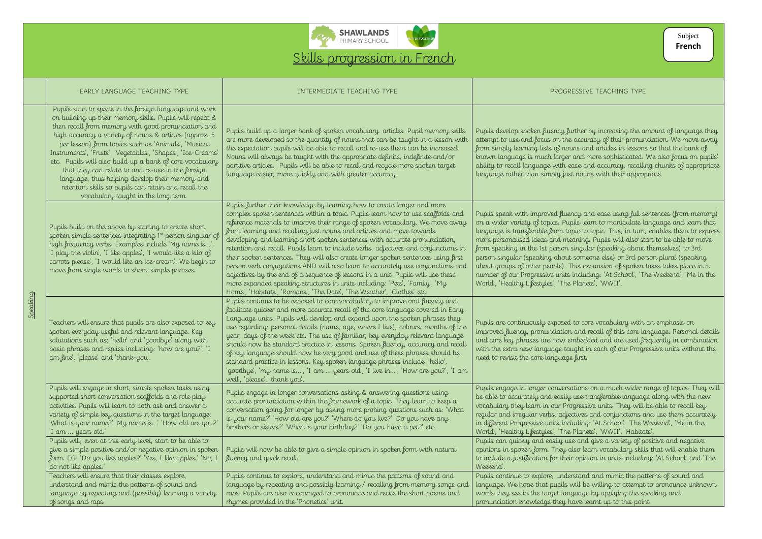

Speaking

Pupils are continuously exposed to core vocabulary with an emphasis on and recall of this core language. Personal details abedded and are used frequently in combination ght in each of our Progressive units without the

tions on a much wider range of topics. They will ise transferable language along with the new pressive units. They will be able to recall key  $r$  and conjunctions and use them accurately iding: 'At School', 'The Weekend', 'Me in the Planets', 'WWII', 'Habitats'.

 $\overline{\nu}$  and give a variety of positive and negative  $\mathfrak s\sigma$  learn vocabulary skills that will enable them  $\mathfrak s$ opinion in units including: 'At School' and 'The

extand and mimic the patterns of sound and ill be willing to attempt to pronounce unknown uage by applying the speaking and we learnt up to this point.

| EARLY LANGUAGE TEACHING TYPE                                                                                                                                                                                                                                                                                                                                                                                                                                                                                                                                                                                                  | INTERMEDIATE TEACHING TYPE                                                                                                                                                                                                                                                                                                                                                                                                                                                                                                                                                                                                                                                                                                                                                                                                                                                                                    | PROGRESSIN                                                                                                                                                                                                                                                                                                                                                                      |
|-------------------------------------------------------------------------------------------------------------------------------------------------------------------------------------------------------------------------------------------------------------------------------------------------------------------------------------------------------------------------------------------------------------------------------------------------------------------------------------------------------------------------------------------------------------------------------------------------------------------------------|---------------------------------------------------------------------------------------------------------------------------------------------------------------------------------------------------------------------------------------------------------------------------------------------------------------------------------------------------------------------------------------------------------------------------------------------------------------------------------------------------------------------------------------------------------------------------------------------------------------------------------------------------------------------------------------------------------------------------------------------------------------------------------------------------------------------------------------------------------------------------------------------------------------|---------------------------------------------------------------------------------------------------------------------------------------------------------------------------------------------------------------------------------------------------------------------------------------------------------------------------------------------------------------------------------|
| Pupils start to speak in the foreign language and work<br>on building up their memory skills. Pupils will repeat &<br>then recall from memory with good pronunciation and<br>high accuracy a variety of nouns & articles (approx. 5<br>per lesson) from topics such as 'Animals', 'Musical<br>Instruments', 'Fruits', 'Vegetables', 'Shapes', 'Ice-Creams'<br>etc. Pupils will also build up a bank of core vocabulary<br>that they can relate to and re-use in the foreign<br>language, thus helping develop their memory and<br>retention skills so pupils can retain and recall the<br>vocabulary taught in the long term. | Pupils build up a larger bank of spoken vocabulary, articles. Pupil memory skills<br>are more developed so the quantity of nouns that can be taught in a lesson with<br>the expectation pupils will be able to recall and re-use them can be increased.<br>Nouns will always be taught with the appropriate definite, indefinite and/or<br>partitive articles. Pupils will be able to recall and recycle more spoken target<br>language easier, more quickly and with greater accuracy.                                                                                                                                                                                                                                                                                                                                                                                                                       | Pupils develop spoken fluency further<br>attempt to use and focus on the accu<br>from simply learning lists of nouns a<br>known language is much larger and<br>ability to recall language with ease a<br>language rather than simply just nou                                                                                                                                   |
| Pupils build on the above by starting to create short,<br>spoken simple sentences integrating 1st person singular of<br>high frequency verbs. Examples include 'My name is',<br>'I play the violin', 'I like apples', 'I would like a kilo of<br>carrots please', 'I would like an ice-cream'. We begin to<br>move from single words to short, simple phrases.                                                                                                                                                                                                                                                                | Pupils further their knowledge by learning how to create longer and more<br>complex spoken sentences within a topic. Pupils learn how to use scaffolds and<br>reference materials to improve their range of spoken vocabulary. We move away<br>from learning and recalling just nouns and articles and move towards<br>developing and learning short spoken sentences with accurate pronunciation,<br>retention and recall. Pupils learn to include verbs, adjectives and conjunctions in<br>their spoken sentences. They will also create longer spoken sentences using first<br>person verb conjugations AND will also learn to accurately use conjunctions and<br>adjectives by the end of a sequence of lessons in a unit. Pupils will use these<br>more expanded speaking structures in units including: 'Pets', 'Family', 'My<br>Home', 'Habitats', 'Romans', 'The Date', 'The Weather', 'Clothes' etc. | Pupils speak with improved fluency a<br>on a wider variety of topics. Pupils le<br>language is transferable from topic to<br>more personalised ideas and meaning<br>from speaking in the 1st person singu<br>person singular (speaking about some<br>about groups of other people). This ex<br>number of our Progressive units inclu<br>World', 'Healthy Lifestyles', 'The Plan |
| Teachers will ensure that pupils are also exposed to key<br>spoken everyday useful and relevant language. Key<br>salutations such as: 'hello' and 'goodbye' along with<br>basic phrases and replies including: 'how are you?', 'I<br>am fine', 'please' and 'thank-you'.                                                                                                                                                                                                                                                                                                                                                      | Pupils continue to be exposed to core vocabulary to improve oral fluency and<br>facilitate quicker and more accurate recall of the core language covered in Early<br>Language units. Pupils will develop and expand upon the spoken phrases they<br>use regarding: personal details (name, age, where I live), colours, months of the<br>year, days of the week etc. The use of familiar, key everyday relevant language<br>should now be standard practice in lessons. Spoken fluency, accuracy and recall<br>of key language should now be very good and use of these phrases should be<br>standard practice in lessons. Key spoken language phrases include: 'hello',<br>'goodbye', 'my name is', 'I am  years old', 'I live in', 'How are you?', 'I am<br>well', 'please', 'thank you'.                                                                                                                   | Pupils are continuously exposed to co<br>improved fluency, pronunciation and<br>and core key phrases are now embed<br>with the extra new language taught i<br>need to revisit the core language first.                                                                                                                                                                          |
| Pupils will engage in short, simple spoken tasks using<br>supported short conversation scaffolds and role play<br>activities. Pupils will learn to both ask and answer a<br>variety of simple key questions in the target language:<br>'What is your name?' 'My name is' 'How old are you?'<br>'I am  years old.'                                                                                                                                                                                                                                                                                                             | Pupils engage in longer conversations asking & answering questions using<br>accurate pronunciation within the framework of a topic. They learn to keep a<br>conversation going for longer by asking more probing questions such as: 'What<br>is your name?' 'How old are you?' 'Where do you live?' 'Do you have any<br>brothers or sisters?' 'When is your birthday?' 'Do you have a pet?' etc.                                                                                                                                                                                                                                                                                                                                                                                                                                                                                                              | Pupils engage in longer conversations<br>be able to accurately and easily use t<br>vocabulary they learn in our Progress<br>regular and irregular verbs, adjectives<br>in different Progressive units including<br>World', 'Healthy Lifestyles', 'The Plan                                                                                                                      |
| Pupils will, even at this early level, start to be able to<br>give a simple positive and/ or negative opinion in spoken<br>form. EG: 'Do you like apples?' 'Yes, I like apples.' 'No, I<br>do not like apples."                                                                                                                                                                                                                                                                                                                                                                                                               | Pupils will now be able to give a simple opinion in spoken form with natural<br>fluency and quick recall.                                                                                                                                                                                                                                                                                                                                                                                                                                                                                                                                                                                                                                                                                                                                                                                                     | Pupils can quickly and easily use and<br>opinions in spoken form. They also le<br>to include a justification for their opir<br>Weekend                                                                                                                                                                                                                                          |
| Teachers will ensure that their classes explore,<br>understand and mimic the patterns of sound and<br>language by repeating and (possibly) learning a variety<br>of songs and raps.                                                                                                                                                                                                                                                                                                                                                                                                                                           | Pupils continue to explore, understand and mimic the patterns of sound and<br>language by repeating and possibly learning / recalling from memory songs and<br>raps. Pupils are also encouraged to pronounce and recite the short poems and<br>rhymes provided in the 'Phonetics' unit.                                                                                                                                                                                                                                                                                                                                                                                                                                                                                                                                                                                                                       | Pupils continue to explore, understand<br>language. We hope that pupils will b<br>words they see in the target language<br>pronunciation knowledge they have l                                                                                                                                                                                                                  |

## **ESSIVE TEACHING TYPE**

ther by increasing the amount of language they accuracy of their pronunciation. We move away  $\infty$  and articles in lessons so that the bank of and more sophisticated. We also focus on pupils' ise and accuracy, recalling chunks of appropriate nouns with their appropriate

cy and ease using full sentences (from memory) ils learn to manipulate language and learn that language is transferable them to express in turn, enables them to express in ming. Pupils will also start to be able to move ingular (speaking about themselves) to 3rd person singular (speaking about someone else) or 3rd person plural (speaking  $\alpha$  expansion of spoken tasks takes place in a ncluding: 'At School', 'The Weekend', 'Me in the Planets', 'WWII'.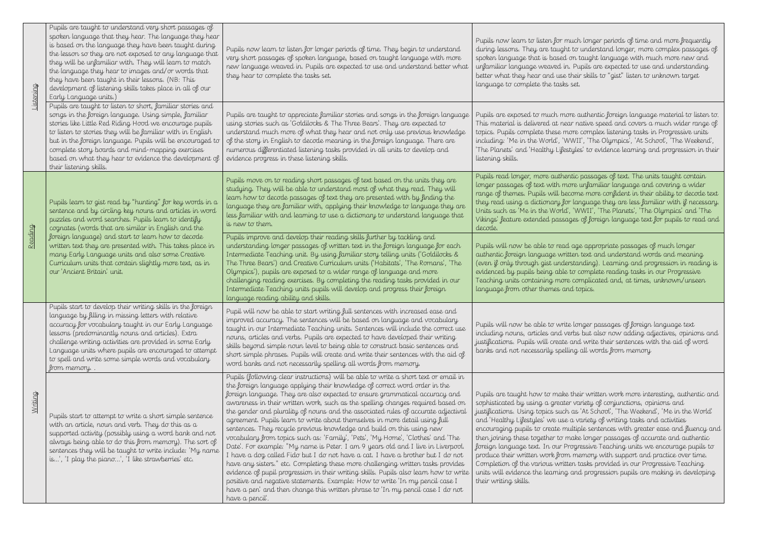Pupils now learn to listen for much longer periods of time and more frequently during understand longer, more complex passages of taught language with much more new and upils are expected to use and understanding better what they hear and use their skills to "gist" listen to unknown target

authentic foreign language material to listen to. native speed and covers a much wider range of to complex listening tasks in Progressive units II', 'The Olympics', 'At School', 'The Weekend', les' to evidence learning and progression in their

Pupils read longer, more authentic passages of text. The units taught contain ) unfamiliar language and covering a wider ne more confident in their ability to decode text anguage they are less familiar with if necessary.  $\widetilde{\rm WWH}$ ', 'The Planets', 'The Olympics' and 'The  $\bar{\phantom{a}}$  $\mathfrak s$  of foreign language text for pupils to read and

ge appropriate passages of much longer a text and understand words and meaning anding). Learning and progression in reading is complete reading tasks in our Progressive omplicated and, at times, unknown/unseen topics.

onger passages of foreign language text is but also now adding adjectives, opinions and id write their sentences with the aid of word  $\mu$  all words from memory

eir written work more interesting, authentic and ariety of conjunctions, opinions and  $s$  'At School', 'The Weekend', 'Me in the World' variety of writing tasks and activities iple sentences with greater ease and fluency and the longer passages of accurate and authentic pressive Teaching units we encourage pupils to produce their writh support and practice over time. tasks provided in our Progressive Teaching units will evolve the learning and progression pupils are making in developing

| Listening | Pupils are taught to understand very short passages of<br>spoken language that they hear. The language they hear<br>is based on the language they have been taught during<br>the lesson so they are not exposed to any language that<br>they will be unfamiliar with. They will learn to match<br>the language they hear to images and/or words that<br>they have been taught in their lessons. (NB: This<br>development of listening skills takes place in all of our<br>Early Language units.) | Pupils now learn to listen for longer periods of time. They begin to understand<br>very short passages of spoken language, based on taught language with more<br>new language weaved in. Pupils are expected to use and understand better what<br>they hear to complete the tasks set.                                                                                                                                                                                                                                                                                                                                                                                                                                                                                                                                                                                                                                                                                                                                                                                                                                                                                                                        | Pupils now learn to listen for much<br>during lessons. They are taught to<br>spoken language that is based on t<br>unfamiliar language weaved in. Pu<br>better what they hear and use their<br>language to complete the tasks set.                                                                                                                                                                                         |
|-----------|--------------------------------------------------------------------------------------------------------------------------------------------------------------------------------------------------------------------------------------------------------------------------------------------------------------------------------------------------------------------------------------------------------------------------------------------------------------------------------------------------|---------------------------------------------------------------------------------------------------------------------------------------------------------------------------------------------------------------------------------------------------------------------------------------------------------------------------------------------------------------------------------------------------------------------------------------------------------------------------------------------------------------------------------------------------------------------------------------------------------------------------------------------------------------------------------------------------------------------------------------------------------------------------------------------------------------------------------------------------------------------------------------------------------------------------------------------------------------------------------------------------------------------------------------------------------------------------------------------------------------------------------------------------------------------------------------------------------------|----------------------------------------------------------------------------------------------------------------------------------------------------------------------------------------------------------------------------------------------------------------------------------------------------------------------------------------------------------------------------------------------------------------------------|
|           | Pupils are taught to listen to short, familiar stories and<br>songs in the foreign language. Using simple, familiar<br>stories like Little Red Riding Hood we encourage pupils<br>to listen to stories they will be familiar with in English<br>but in the foreign language. Pupils will be encouraged to<br>complete story boards and mind-mapping exercises<br>based on what they hear to evidence the development of<br>their listening skills.                                               | Pupils are taught to appreciate familiar stories and songs in the foreign language<br>using stories such as 'Goldilocks & The Three Bears'. They are expected to<br>understand much more of what they hear and not only use previous knowledge<br>of the story in English to decode meaning in the foreign language. There are<br>numerous differentiated listening tasks provided in all units to develop and<br>evidence progress in these listening skills.                                                                                                                                                                                                                                                                                                                                                                                                                                                                                                                                                                                                                                                                                                                                                | Pupils are exposed to much more o<br>This material is delivered at near n<br>topics. Pupils complete these more<br>including: 'Me in the World', 'WWI'<br>'The Planets' and 'Healthy Lifestyle<br>listening skills.                                                                                                                                                                                                        |
|           | Pupils learn to gist read by "hunting" for key words in a<br>sentence and by circling key nouns and articles in word<br>puzzles and word searches. Pupils learn to identify<br>cognates (words that are similar in English and the                                                                                                                                                                                                                                                               | Pupils move on to reading short passages of text based on the units they are<br>studying. They will be able to understand most of what they read. They will<br>learn how to decode passages of text they are presented with by finding the<br>language they are familiar with, applying their knowledge to language they are<br>less familiar with and learning to use a dictionary to understand language that<br>is new to them.                                                                                                                                                                                                                                                                                                                                                                                                                                                                                                                                                                                                                                                                                                                                                                            | Pupils read longer, more authentic<br>longer passages of text with more<br>range of themes. Pupils will becom<br>they read using a dictionary for lar<br>Units such as 'Me in the World', 'W<br>Vikings' feature extended passages<br>decode.                                                                                                                                                                              |
| Reading   | foreign language) and start to learn how to decode<br>written text they are presented with. This takes place in<br>many Early Language units and also some Creative<br>Curriculum units that contain slightly more text, as in<br>our 'Ancient Britain' unit.                                                                                                                                                                                                                                    | Pupils improve and develop their reading skills further by tackling and<br>understanding longer passages of written text in the foreign language for each<br>Intermediate Teaching unit. By using familiar story telling units ('Goldilocks &<br>The Three Bears') and Creative Curriculum units ('Habitats', 'The Romans', 'The<br>Olympics'), pupils are exposed to a wider range of language and more<br>challenging reading exercises. By completing the reading tasks provided in our<br>Intermediate Teaching units pupils will develop and progress their foreign<br>language reading ability and skills.                                                                                                                                                                                                                                                                                                                                                                                                                                                                                                                                                                                              | Pupils will now be able to read ago<br>authentic foreign language written<br>(even if only through gist understa<br>evidenced by pupils being able to<br>Teaching units containing more con<br>language from other themes and to                                                                                                                                                                                           |
|           | Pupils start to develop their writing skills in the foreign<br>language by filling in missing letters with relative<br>accuracy for vocabulary taught in our Early Language<br>lessons (predominantly nouns and articles). Extra<br>challenge writing activities are provided in some Early<br>Language units where pupils are encouraged to attempt<br>to spell and write some simple words and vocabulary<br>from memory                                                                       | Pupil will now be able to start writing full sentences with increased ease and<br>improved accuracy. The sentences will be based on language and vocabulary<br>taught in our Intermediate Teaching units. Sentences will include the correct use<br>nouns, articles and verbs. Pupils are expected to have developed their writing<br>skills beyond simple noun level to being able to construct basic sentences and<br>short simple phrases. Pupils will create and write their sentences with the aid of<br>word banks and not necessarily spelling all words from memory.                                                                                                                                                                                                                                                                                                                                                                                                                                                                                                                                                                                                                                  | Pupils will now be able to write lor<br>including nouns, articles and verbs<br>justifications. Pupils will create and<br>banks and not necessarily spelling                                                                                                                                                                                                                                                                |
| Writing   | Pupils start to attempt to write a short simple sentence<br>with an article, noun and verb. They do this as a<br>supported activity (possibly using a word bank and not<br>always being able to do this from memory). The sort of<br>sentences they will be taught to write include: 'My name<br>is', 'I play the piano', 'I like strawberries' etc.                                                                                                                                             | Pupils (following clear instructions) will be able to write a short text or email in<br>the foreign language applying their knowledge of correct word order in the<br>foreign language. They are also expected to ensure grammatical accuracy and<br>awareness in their written work, such as the spelling changes required based on<br>the gender and plurality of nouns and the associated rules of accurate adjectival<br>agreement. Pupils learn to write about themselves in more detail using full<br>sentences. They recycle previous knowledge and build on this using new<br>vocabulary from topics such as: 'Family', 'Pets', 'My Home', 'Clothes' and 'The<br>Date'. For example: "My name is Peter. I am 9 years old and I live in Liverpool.<br>I have a dog called Fido but I do not have a cat. I have a brother but I do not<br>have any sisters." etc. Completing these more challenging written tasks provides<br>evidence of pupil progression in their writing skills. Pupils also learn how to write<br>positive and negative statements. Example: How to write 'In my pencil case I<br>have a pen' and then change this written phrase to 'In my pencil case I do not<br>have a pencil. | Pupils are taught how to make the<br>sophisticated by using a greater va<br>justifications. Using topics such as<br>and 'Healthy Lifestyles' we use a v<br>encouraging pupils to create multip<br>then joining these together to make<br>foreign language text. In our Progr<br>produce their written work from me<br>Completion of the various written t<br>units will evidence the learning and<br>their writing skills. |